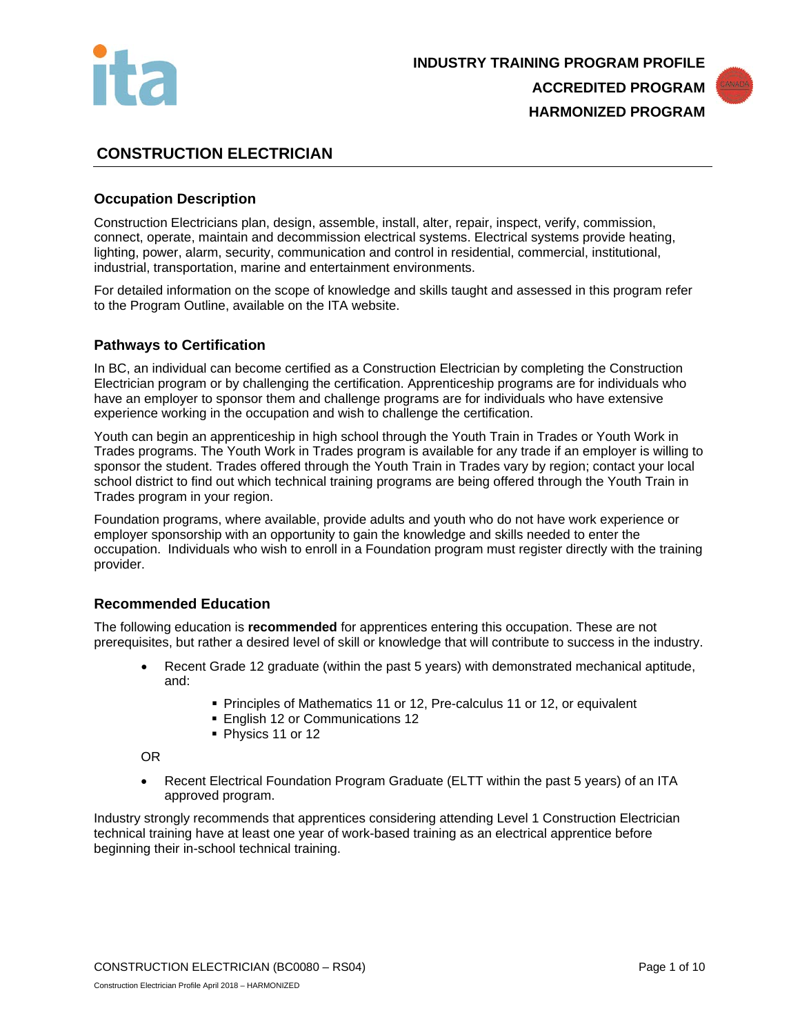



# **CONSTRUCTION ELECTRICIAN**

## **Occupation Description**

Construction Electricians plan, design, assemble, install, alter, repair, inspect, verify, commission, connect, operate, maintain and decommission electrical systems. Electrical systems provide heating, lighting, power, alarm, security, communication and control in residential, commercial, institutional, industrial, transportation, marine and entertainment environments.

For detailed information on the scope of knowledge and skills taught and assessed in this program refer to the Program Outline, available on the ITA website.

#### **Pathways to Certification**

In BC, an individual can become certified as a Construction Electrician by completing the Construction Electrician program or by challenging the certification. Apprenticeship programs are for individuals who have an employer to sponsor them and challenge programs are for individuals who have extensive experience working in the occupation and wish to challenge the certification.

Youth can begin an apprenticeship in high school through the Youth Train in Trades or Youth Work in Trades programs. The Youth Work in Trades program is available for any trade if an employer is willing to sponsor the student. Trades offered through the Youth Train in Trades vary by region; contact your local school district to find out which technical training programs are being offered through the Youth Train in Trades program in your region.

Foundation programs, where available, provide adults and youth who do not have work experience or employer sponsorship with an opportunity to gain the knowledge and skills needed to enter the occupation. Individuals who wish to enroll in a Foundation program must register directly with the training provider.

#### **Recommended Education**

The following education is **recommended** for apprentices entering this occupation. These are not prerequisites, but rather a desired level of skill or knowledge that will contribute to success in the industry.

- Recent Grade 12 graduate (within the past 5 years) with demonstrated mechanical aptitude, and:
	- **Principles of Mathematics 11 or 12, Pre-calculus 11 or 12, or equivalent**
	- **English 12 or Communications 12**
	- Physics 11 or 12

OR

• Recent Electrical Foundation Program Graduate (ELTT within the past 5 years) of an ITA approved program.

Industry strongly recommends that apprentices considering attending Level 1 Construction Electrician technical training have at least one year of work-based training as an electrical apprentice before beginning their in-school technical training.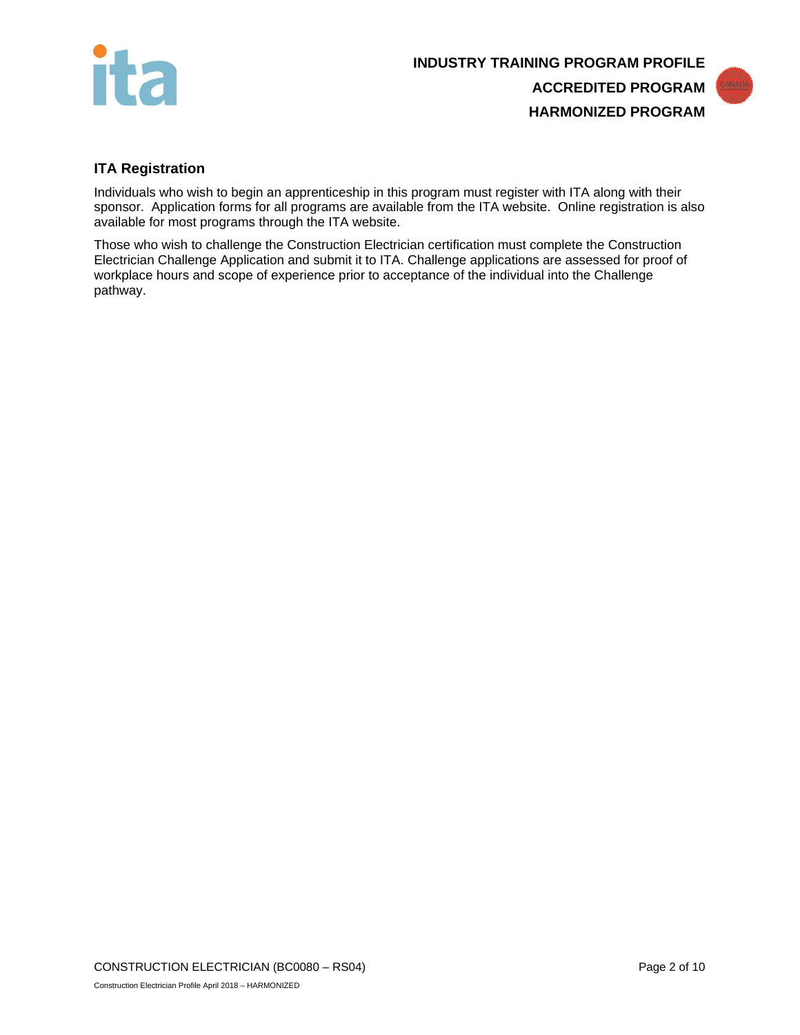

# **INDUSTRY TRAINING PROGRAM PROFILE ACCREDITED PROGRAM HARMONIZED PROGRAM**



## **ITA Registration**

Individuals who wish to begin an apprenticeship in this program must register with ITA along with their sponsor. Application forms for all programs are available from the ITA website. Online registration is also available for most programs through the ITA website.

Those who wish to challenge the Construction Electrician certification must complete the Construction Electrician Challenge Application and submit it to ITA. Challenge applications are assessed for proof of workplace hours and scope of experience prior to acceptance of the individual into the Challenge pathway.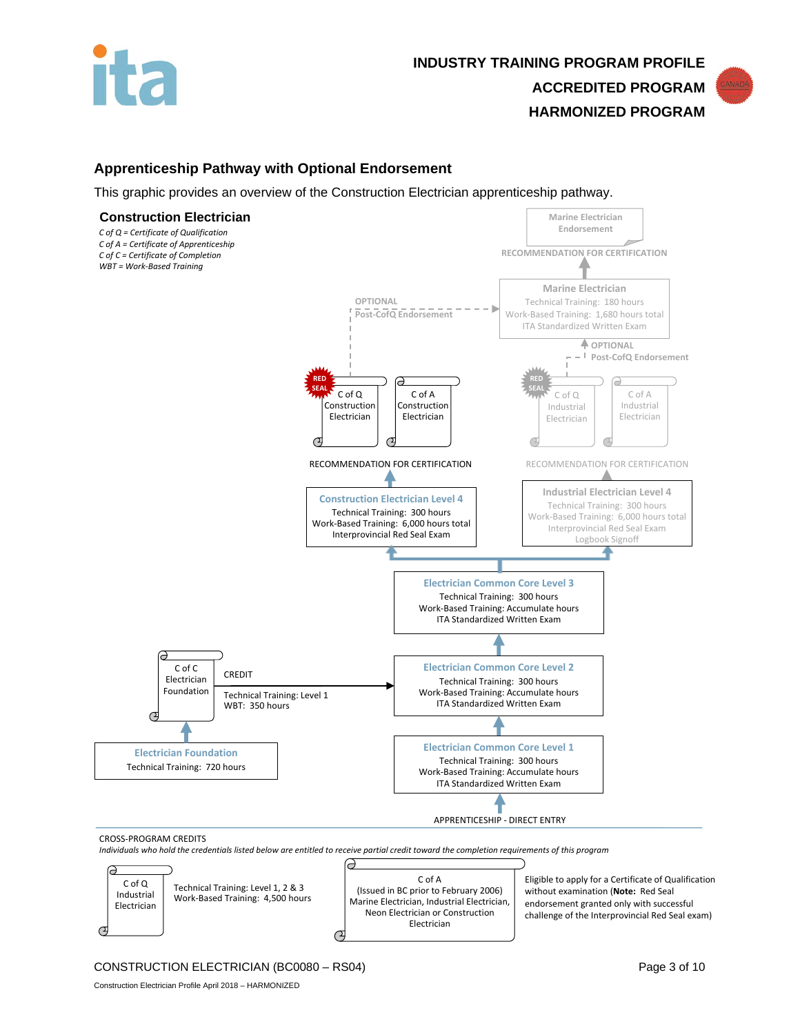



## **Apprenticeship Pathway with Optional Endorsement**

This graphic provides an overview of the Construction Electrician apprenticeship pathway.



CONSTRUCTION ELECTRICIAN (BC0080 – RS04) Page 3 of 10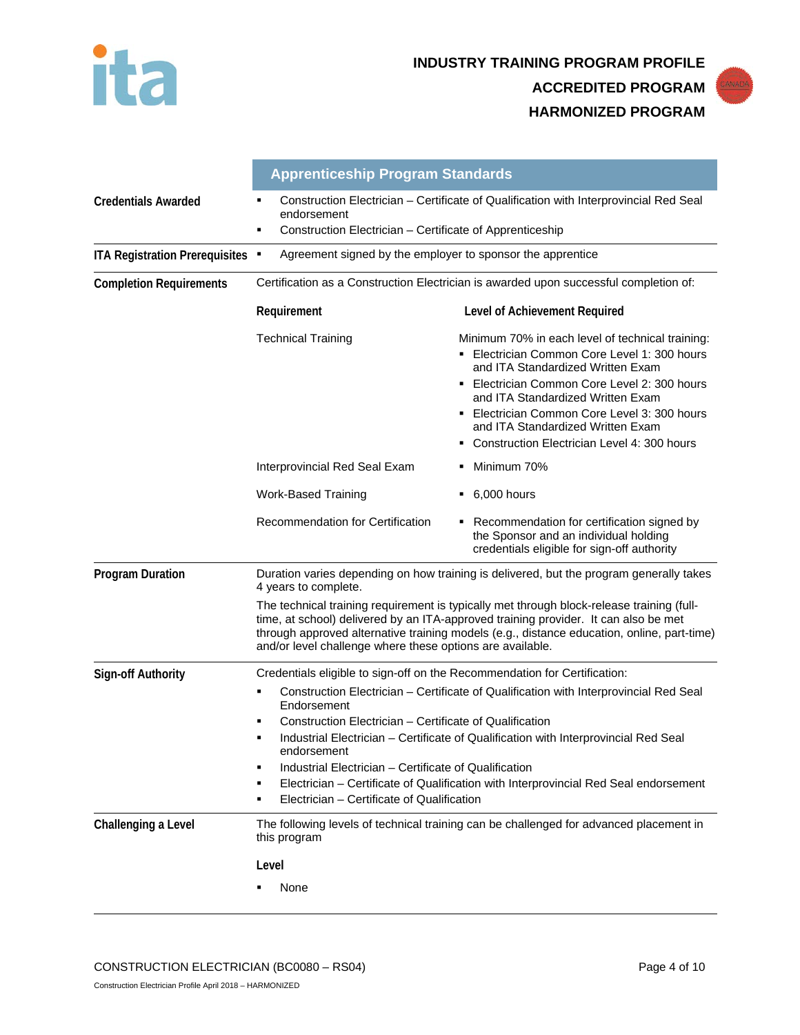



|                                  | <b>Apprenticeship Program Standards</b>                                                                                                                                                                                                                                                                                                     |                                                                                                                                                                                                                                                                                                                                                              |  |
|----------------------------------|---------------------------------------------------------------------------------------------------------------------------------------------------------------------------------------------------------------------------------------------------------------------------------------------------------------------------------------------|--------------------------------------------------------------------------------------------------------------------------------------------------------------------------------------------------------------------------------------------------------------------------------------------------------------------------------------------------------------|--|
| <b>Credentials Awarded</b>       | endorsement                                                                                                                                                                                                                                                                                                                                 | Construction Electrician - Certificate of Qualification with Interprovincial Red Seal                                                                                                                                                                                                                                                                        |  |
|                                  | Construction Electrician - Certificate of Apprenticeship<br>٠                                                                                                                                                                                                                                                                               |                                                                                                                                                                                                                                                                                                                                                              |  |
| ITA Registration Prerequisites . | Agreement signed by the employer to sponsor the apprentice                                                                                                                                                                                                                                                                                  |                                                                                                                                                                                                                                                                                                                                                              |  |
| <b>Completion Requirements</b>   | Certification as a Construction Electrician is awarded upon successful completion of:                                                                                                                                                                                                                                                       |                                                                                                                                                                                                                                                                                                                                                              |  |
|                                  | Requirement                                                                                                                                                                                                                                                                                                                                 | Level of Achievement Required                                                                                                                                                                                                                                                                                                                                |  |
|                                  | <b>Technical Training</b>                                                                                                                                                                                                                                                                                                                   | Minimum 70% in each level of technical training:<br>• Electrician Common Core Level 1: 300 hours<br>and ITA Standardized Written Exam<br>Electrician Common Core Level 2: 300 hours<br>and ITA Standardized Written Exam<br>Electrician Common Core Level 3: 300 hours<br>and ITA Standardized Written Exam<br>• Construction Electrician Level 4: 300 hours |  |
|                                  | Interprovincial Red Seal Exam                                                                                                                                                                                                                                                                                                               | • Minimum 70%                                                                                                                                                                                                                                                                                                                                                |  |
|                                  | <b>Work-Based Training</b>                                                                                                                                                                                                                                                                                                                  | $-6,000$ hours                                                                                                                                                                                                                                                                                                                                               |  |
|                                  | Recommendation for Certification                                                                                                                                                                                                                                                                                                            | • Recommendation for certification signed by<br>the Sponsor and an individual holding<br>credentials eligible for sign-off authority                                                                                                                                                                                                                         |  |
| <b>Program Duration</b>          | 4 years to complete.                                                                                                                                                                                                                                                                                                                        | Duration varies depending on how training is delivered, but the program generally takes                                                                                                                                                                                                                                                                      |  |
|                                  | The technical training requirement is typically met through block-release training (full-<br>time, at school) delivered by an ITA-approved training provider. It can also be met<br>through approved alternative training models (e.g., distance education, online, part-time)<br>and/or level challenge where these options are available. |                                                                                                                                                                                                                                                                                                                                                              |  |
| <b>Sign-off Authority</b>        | Credentials eligible to sign-off on the Recommendation for Certification:                                                                                                                                                                                                                                                                   |                                                                                                                                                                                                                                                                                                                                                              |  |
|                                  | Construction Electrician - Certificate of Qualification with Interprovincial Red Seal<br>п<br>Endorsement<br>Construction Electrician – Certificate of Qualification<br>$\blacksquare$                                                                                                                                                      |                                                                                                                                                                                                                                                                                                                                                              |  |
|                                  | Industrial Electrician - Certificate of Qualification with Interprovincial Red Seal<br>٠<br>endorsement                                                                                                                                                                                                                                     |                                                                                                                                                                                                                                                                                                                                                              |  |
|                                  | Industrial Electrician – Certificate of Qualification<br>$\blacksquare$<br>Electrician - Certificate of Qualification with Interprovincial Red Seal endorsement<br>٠<br>Electrician - Certificate of Qualification<br>٠                                                                                                                     |                                                                                                                                                                                                                                                                                                                                                              |  |
| Challenging a Level              | this program                                                                                                                                                                                                                                                                                                                                | The following levels of technical training can be challenged for advanced placement in                                                                                                                                                                                                                                                                       |  |
|                                  | Level                                                                                                                                                                                                                                                                                                                                       |                                                                                                                                                                                                                                                                                                                                                              |  |
|                                  | None                                                                                                                                                                                                                                                                                                                                        |                                                                                                                                                                                                                                                                                                                                                              |  |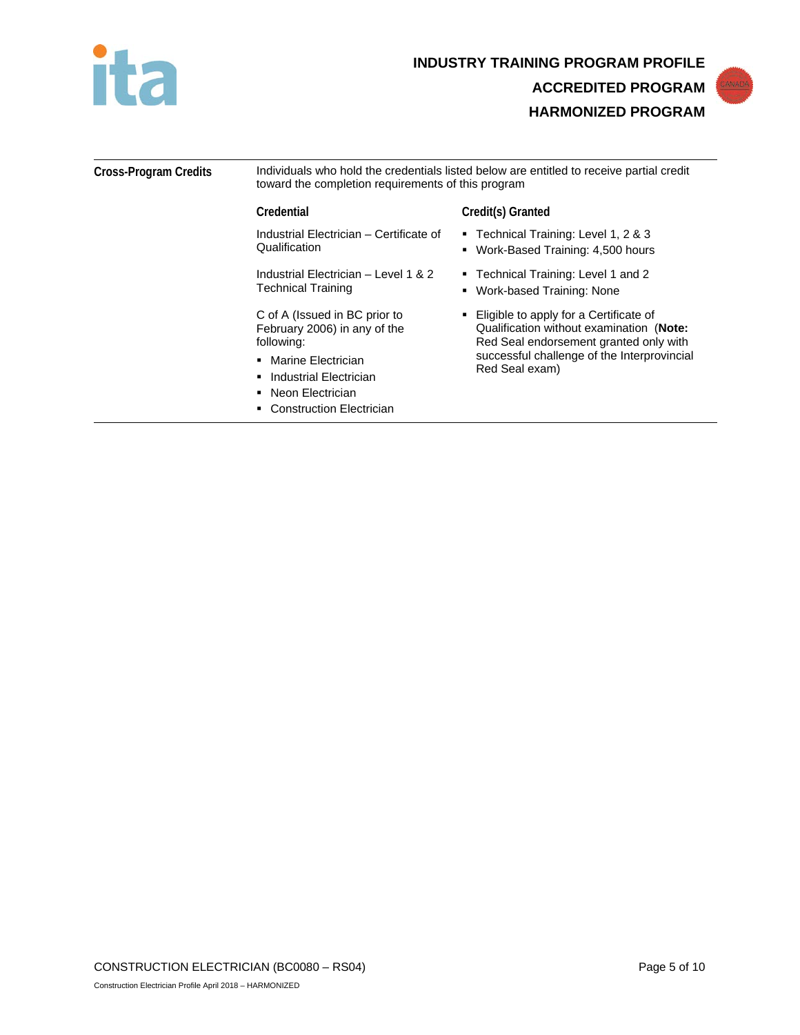



| <b>Cross-Program Credits</b> | Individuals who hold the credentials listed below are entitled to receive partial credit<br>toward the completion requirements of this program |                                                                                                                                                                                                 |
|------------------------------|------------------------------------------------------------------------------------------------------------------------------------------------|-------------------------------------------------------------------------------------------------------------------------------------------------------------------------------------------------|
|                              | Credential                                                                                                                                     | Credit(s) Granted                                                                                                                                                                               |
|                              | Industrial Electrician - Certificate of<br>Qualification                                                                                       | ■ Technical Training: Level 1, 2 & 3<br>• Work-Based Training: 4,500 hours                                                                                                                      |
|                              | Industrial Electrician - Level 1 & 2<br><b>Technical Training</b>                                                                              | ■ Technical Training: Level 1 and 2<br>• Work-based Training: None                                                                                                                              |
|                              | C of A (Issued in BC prior to<br>February 2006) in any of the<br>following:                                                                    | • Eligible to apply for a Certificate of<br>Qualification without examination (Note:<br>Red Seal endorsement granted only with<br>successful challenge of the Interprovincial<br>Red Seal exam) |
|                              | • Marine Electrician<br>• Industrial Electrician<br>Neon Electrician                                                                           |                                                                                                                                                                                                 |
|                              | <b>Construction Electrician</b>                                                                                                                |                                                                                                                                                                                                 |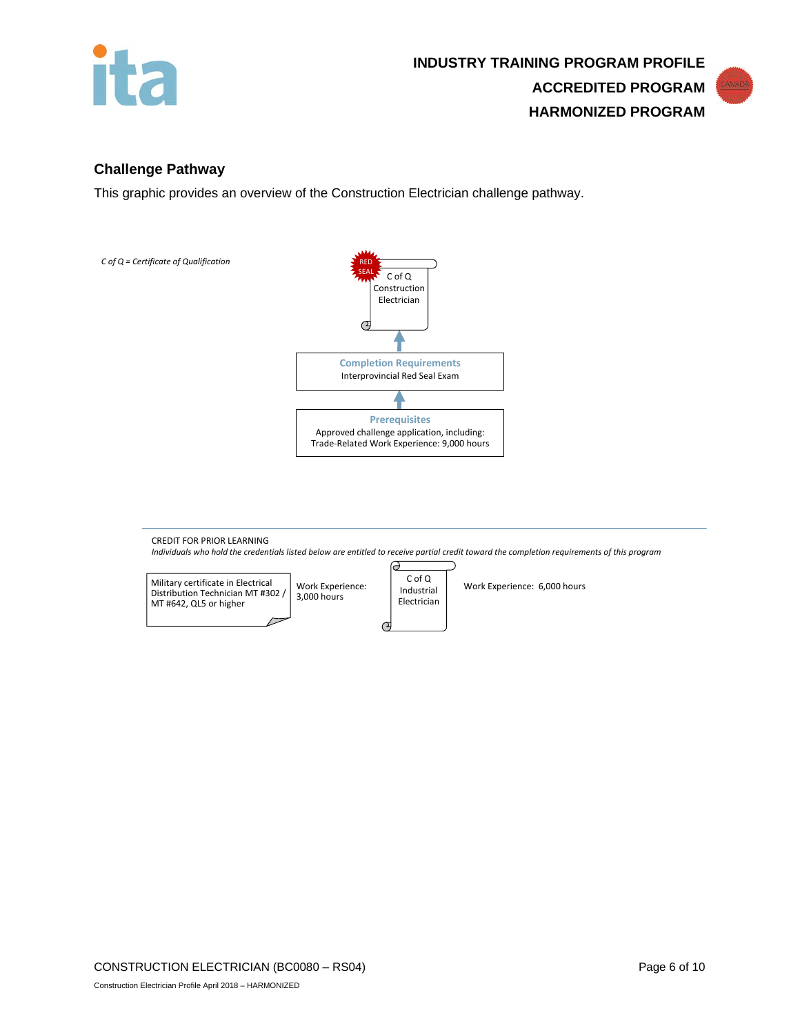



## **Challenge Pathway**

This graphic provides an overview of the Construction Electrician challenge pathway.



CREDIT FOR PRIOR LEARNING *Individuals who hold the credentials listed below are entitled to receive partial credit toward the completion requirements of this program* ခ



Work Experience: 6,000 hours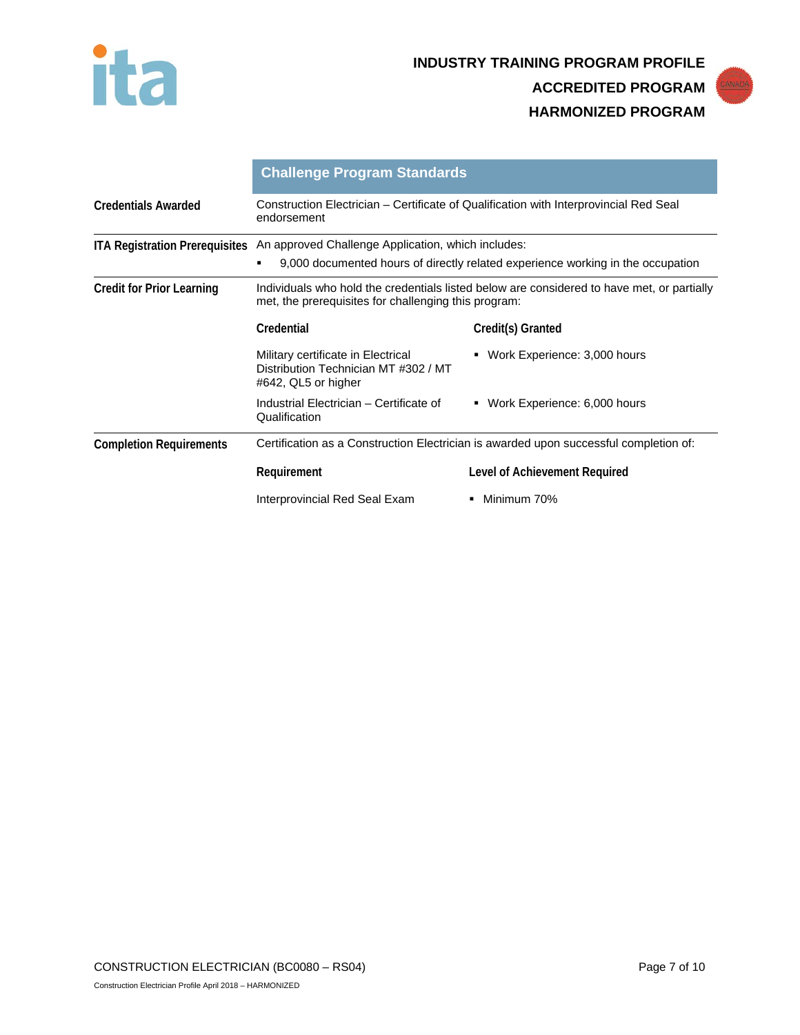



|                                       | <b>Challenge Program Standards</b>                                                                                                                 |                                   |  |
|---------------------------------------|----------------------------------------------------------------------------------------------------------------------------------------------------|-----------------------------------|--|
| <b>Credentials Awarded</b>            | Construction Electrician – Certificate of Qualification with Interprovincial Red Seal<br>endorsement                                               |                                   |  |
| <b>ITA Registration Prerequisites</b> | An approved Challenge Application, which includes:                                                                                                 |                                   |  |
|                                       | 9,000 documented hours of directly related experience working in the occupation                                                                    |                                   |  |
| <b>Credit for Prior Learning</b>      | Individuals who hold the credentials listed below are considered to have met, or partially<br>met, the prerequisites for challenging this program: |                                   |  |
|                                       | Credential                                                                                                                                         | Credit(s) Granted                 |  |
|                                       | Military certificate in Electrical<br>Distribution Technician MT #302 / MT<br>#642, QL5 or higher                                                  | Work Experience: 3,000 hours<br>٠ |  |
|                                       | Industrial Electrician - Certificate of<br>Qualification                                                                                           | • Work Experience: 6,000 hours    |  |
| <b>Completion Requirements</b>        | Certification as a Construction Electrician is awarded upon successful completion of:                                                              |                                   |  |
|                                       | Requirement                                                                                                                                        | Level of Achievement Required     |  |
|                                       | Interprovincial Red Seal Exam                                                                                                                      | Minimum 70%                       |  |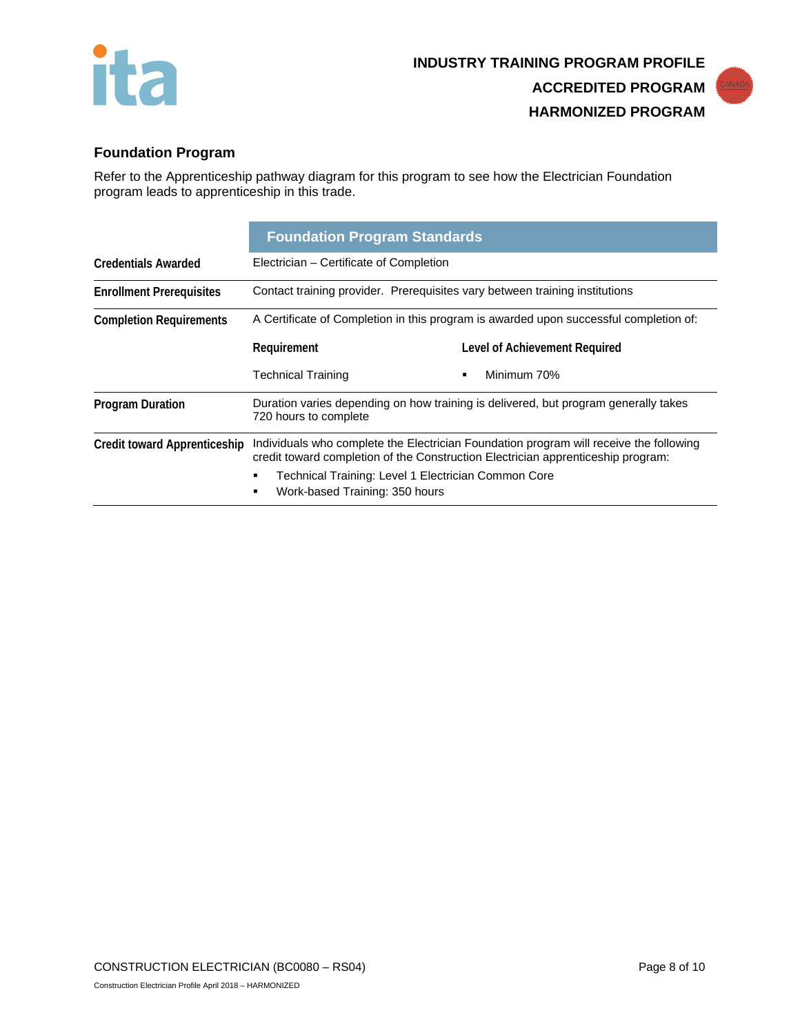



# **Foundation Program**

Refer to the Apprenticeship pathway diagram for this program to see how the Electrician Foundation program leads to apprenticeship in this trade.

|                                     | <b>Foundation Program Standards</b>                                                                                                                                        |                               |  |
|-------------------------------------|----------------------------------------------------------------------------------------------------------------------------------------------------------------------------|-------------------------------|--|
| <b>Credentials Awarded</b>          | Electrician - Certificate of Completion                                                                                                                                    |                               |  |
| <b>Enrollment Prerequisites</b>     | Contact training provider. Prerequisites vary between training institutions                                                                                                |                               |  |
| <b>Completion Requirements</b>      | A Certificate of Completion in this program is awarded upon successful completion of:                                                                                      |                               |  |
|                                     | Requirement                                                                                                                                                                | Level of Achievement Required |  |
|                                     | <b>Technical Training</b>                                                                                                                                                  | Minimum 70%<br>$\blacksquare$ |  |
| <b>Program Duration</b>             | Duration varies depending on how training is delivered, but program generally takes<br>720 hours to complete                                                               |                               |  |
| <b>Credit toward Apprenticeship</b> | Individuals who complete the Electrician Foundation program will receive the following<br>credit toward completion of the Construction Electrician apprenticeship program: |                               |  |
|                                     | Technical Training: Level 1 Electrician Common Core<br>Work-based Training: 350 hours<br>٠                                                                                 |                               |  |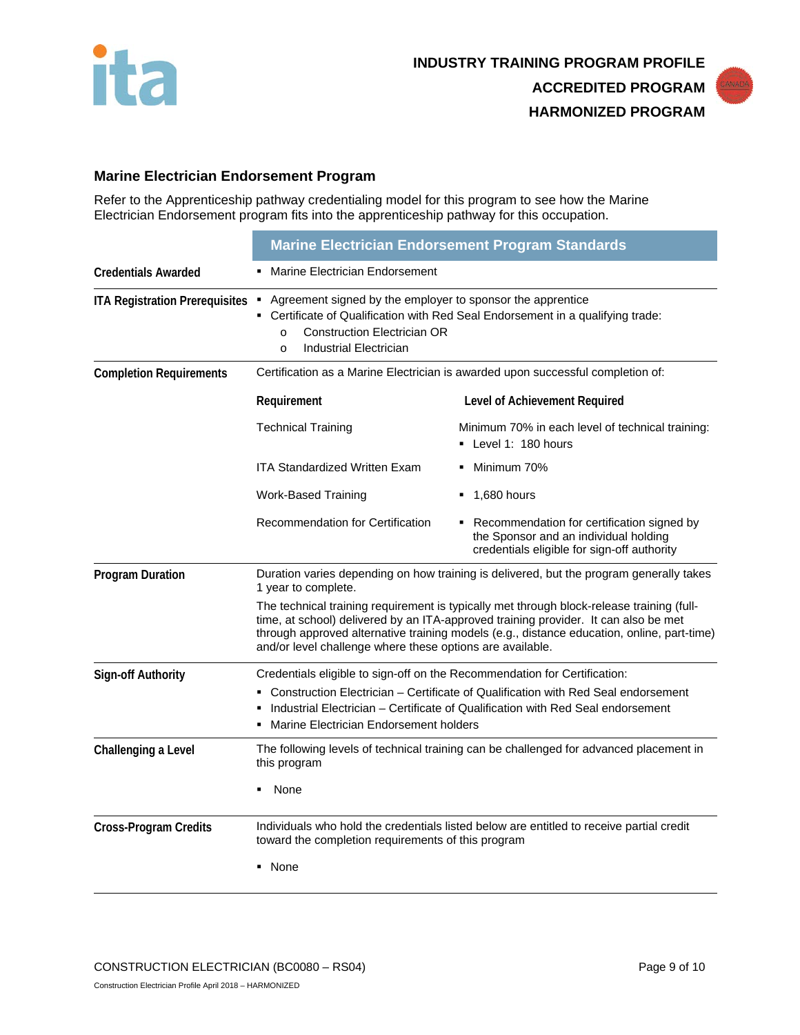



# **Marine Electrician Endorsement Program**

Refer to the Apprenticeship pathway credentialing model for this program to see how the Marine Electrician Endorsement program fits into the apprenticeship pathway for this occupation.

|                                       | <b>Marine Electrician Endorsement Program Standards</b>                                                                                                                                                                                                                                                                                     |                                                                                                                                      |
|---------------------------------------|---------------------------------------------------------------------------------------------------------------------------------------------------------------------------------------------------------------------------------------------------------------------------------------------------------------------------------------------|--------------------------------------------------------------------------------------------------------------------------------------|
| <b>Credentials Awarded</b>            | Marine Electrician Endorsement                                                                                                                                                                                                                                                                                                              |                                                                                                                                      |
| <b>ITA Registration Prerequisites</b> | • Agreement signed by the employer to sponsor the apprentice<br>• Certificate of Qualification with Red Seal Endorsement in a qualifying trade:<br><b>Construction Electrician OR</b><br>$\Omega$<br><b>Industrial Electrician</b><br>$\Omega$                                                                                              |                                                                                                                                      |
| <b>Completion Requirements</b>        | Certification as a Marine Electrician is awarded upon successful completion of:                                                                                                                                                                                                                                                             |                                                                                                                                      |
|                                       | Requirement                                                                                                                                                                                                                                                                                                                                 | Level of Achievement Required                                                                                                        |
|                                       | <b>Technical Training</b>                                                                                                                                                                                                                                                                                                                   | Minimum 70% in each level of technical training:<br>• Level 1: 180 hours                                                             |
|                                       | <b>ITA Standardized Written Exam</b>                                                                                                                                                                                                                                                                                                        | • Minimum 70%                                                                                                                        |
|                                       | <b>Work-Based Training</b>                                                                                                                                                                                                                                                                                                                  | $\blacksquare$ 1,680 hours                                                                                                           |
|                                       | Recommendation for Certification                                                                                                                                                                                                                                                                                                            | • Recommendation for certification signed by<br>the Sponsor and an individual holding<br>credentials eligible for sign-off authority |
| <b>Program Duration</b>               | Duration varies depending on how training is delivered, but the program generally takes<br>1 year to complete.                                                                                                                                                                                                                              |                                                                                                                                      |
|                                       | The technical training requirement is typically met through block-release training (full-<br>time, at school) delivered by an ITA-approved training provider. It can also be met<br>through approved alternative training models (e.g., distance education, online, part-time)<br>and/or level challenge where these options are available. |                                                                                                                                      |
| <b>Sign-off Authority</b>             | Credentials eligible to sign-off on the Recommendation for Certification:                                                                                                                                                                                                                                                                   |                                                                                                                                      |
|                                       | • Construction Electrician – Certificate of Qualification with Red Seal endorsement<br>Industrial Electrician – Certificate of Qualification with Red Seal endorsement<br>Marine Electrician Endorsement holders                                                                                                                            |                                                                                                                                      |
| Challenging a Level                   | this program                                                                                                                                                                                                                                                                                                                                | The following levels of technical training can be challenged for advanced placement in                                               |
|                                       | None                                                                                                                                                                                                                                                                                                                                        |                                                                                                                                      |
| <b>Cross-Program Credits</b>          | Individuals who hold the credentials listed below are entitled to receive partial credit<br>toward the completion requirements of this program<br>None                                                                                                                                                                                      |                                                                                                                                      |